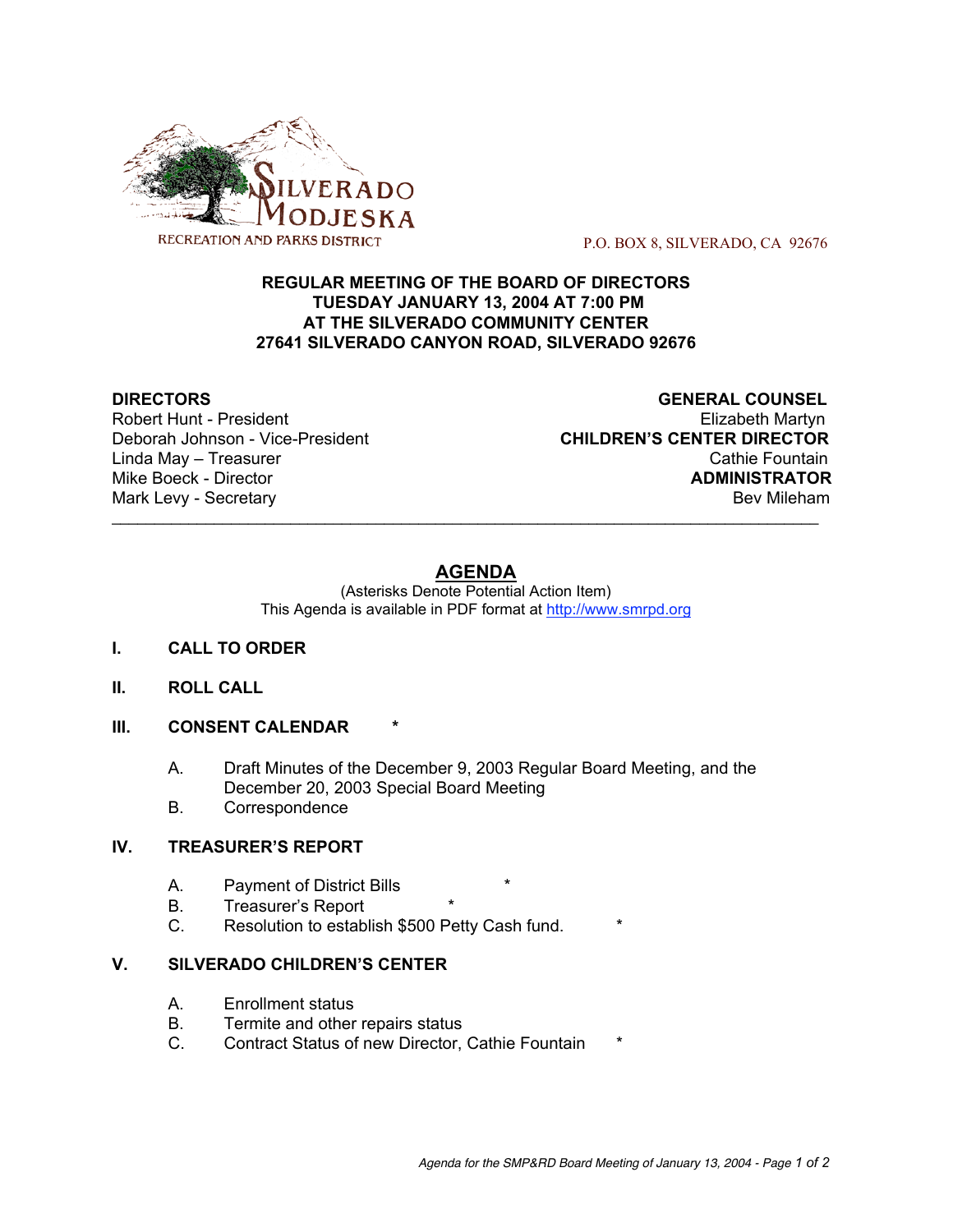

P.O. BOX 8, SILVERADO, CA 92676

## **REGULAR MEETING OF THE BOARD OF DIRECTORS TUESDAY JANUARY 13, 2004 AT 7:00 PM AT THE SILVERADO COMMUNITY CENTER 27641 SILVERADO CANYON ROAD, SILVERADO 92676**

 $\mathcal{L}_\text{max}$  , and the contribution of the contribution of the contribution of the contribution of the contribution of the contribution of the contribution of the contribution of the contribution of the contribution of t

**DIRECTORS GENERAL COUNSEL** Robert Hunt - President Elizabeth Martyn Deborah Johnson - Vice-President **CHILDREN'S CENTER DIRECTOR** Linda May – Treasurer Cathie Fountain Mike Boeck - Director **ADMINISTRATOR** Mark Levy - Secretary **Bev Mileham** 

# **AGENDA**

(Asterisks Denote Potential Action Item) This Agenda is available in PDF format at http://www.smrpd.org

- **I. CALL TO ORDER**
- **II. ROLL CALL**
- **III. CONSENT CALENDAR \***
	- A. Draft Minutes of the December 9, 2003 Regular Board Meeting, and the December 20, 2003 Special Board Meeting
	- B. Correspondence

## **IV. TREASURER'S REPORT**

- A. Payment of District Bills
- B. Treasurer's Report
- C. Resolution to establish \$500 Petty Cash fund. \*

#### **V. SILVERADO CHILDREN'S CENTER**

- A. Enrollment status
- B. Termite and other repairs status
- C. Contract Status of new Director, Cathie Fountain \*